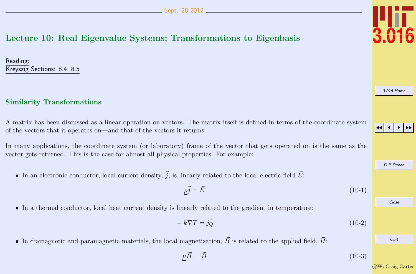Sept. 28 2012

# <span id="page-0-0"></span>Lecture 10: Real Eigenvalue Systems; Transformations to Eigenbasis

Reading: Kreyszig Sections: 8.4, 8.5

## Similarity Transformations

A matrix has been discussed as a linear operation on vectors. The matrix itself is defined in terms of the coordinate system of the vectors that it operates on—and that of the vectors it returns.

In many applications, the coordinate system (or laboratory) frame of the vector that gets operated on is the same as the vector gets returned. This is the case for almost all physical properties. For example:

• In an electronic conductor, local current density,  $\vec{j}$ , is linearly related to the local electric field  $\vec{E}$ :

$$
\rho \vec{j} = \vec{E} \tag{10-1}
$$

• In a thermal conductor, local heat current density is linearly related to the gradient in temperature:

$$
-\underline{k}\nabla T = \vec{j_Q} \tag{10-2}
$$

• In diamagnetic and paramagnetic materials, the local magnetization,  $\vec{B}$  is related to the applied field,  $\vec{H}$ :

$$
\mu \vec{H} = \vec{B} \tag{10-3}
$$



[3.016 Home](http://pruffle.mit.edu/3.016-2012/)

JJ J I II

Full Screen Close Quit

c W. Craig Carter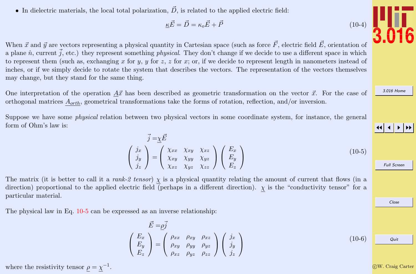<span id="page-1-0"></span>• In dielectric materials, the local total polarization,  $\vec{D}$ , is related to the applied electric field:

$$
\underline{\kappa}\vec{E} = \vec{D} = \kappa_o \vec{E} + \vec{P} \tag{10-4}
$$

When  $\vec{x}$  and  $\vec{y}$  are vectors representing a physical quantity in Cartesian space (such as force  $\vec{F}$ , electric field  $\vec{E}$ , orientation of a plane  $\hat{n}$ , current  $\vec{j}$ , etc.) they represent something *physical*. They don't change if we decide to use a different space in which to represent them (such as, exchanging x for y, y for z, z for x; or, if we decide to represent length in nanometers instead of inches, or if we simply decide to rotate the system that describes the vectors. The representation of the vectors themselves may change, but they stand for the same thing.

One interpretation of the operation  $\Delta \vec{x}$  has been described as geometric transformation on the vector  $\vec{x}$ . For the case of orthogonal matrices  $A_{orth}$ , geometrical transformations take the forms of rotation, reflection, and/or inversion.

Suppose we have some physical relation between two physical vectors in some coordinate system, for instance, the general form of Ohm's law is:

$$
\vec{j} = \underline{\chi}\vec{E}
$$
\n
$$
\begin{pmatrix}\n\dot{j}_x \\
\dot{j}_y \\
\dot{j}_z\n\end{pmatrix} = \begin{pmatrix}\n\chi_{xx} & \chi_{xy} & \chi_{xz} \\
\chi_{xy} & \chi_{yy} & \chi_{yz} \\
\chi_{xz} & \chi_{yz} & \chi_{zz}\n\end{pmatrix} \begin{pmatrix} E_x \\
E_y \\
E_z\n\end{pmatrix}
$$
\n(10-5)

The matrix (it is better to call it a rank-2 tensor)  $\chi$  is a physical quantity relating the amount of current that flows (in a direction) proportional to the applied electric field (perhaps in a different direction).  $\chi$  is the "conductivity tensor" for a particular material.

The physical law in Eq. 10-5 can be expressed as an inverse relationship:

$$
\vec{E} = \rho \vec{j}
$$
\n
$$
\begin{pmatrix}\nE_x \\
E_y \\
E_z\n\end{pmatrix} = \begin{pmatrix}\n\rho_{xx} & \rho_{xy} & \rho_{xz} \\
\rho_{xy} & \rho_{yy} & \rho_{yz} \\
\rho_{xz} & \rho_{yz} & \rho_{zz}\n\end{pmatrix} \begin{pmatrix}\nj_x \\
j_y \\
j_z\n\end{pmatrix}
$$
\n(10-6)

where the resistivity tensor  $\rho = \chi^{-1}$ .

c W. Craig Carter

Quit



[3.016 Home](http://pruffle.mit.edu/3.016-2012/)

JJ J I II

Full Screen

Close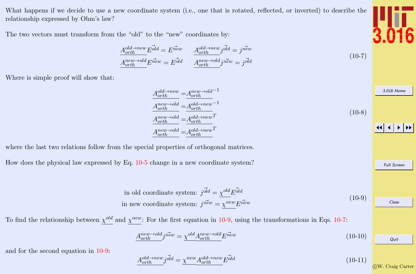What happens if we decide to use a new coordinate system (i.e., one that is rotated, reflected, or inverted) to describe the relationship expressed by Ohm's law?

The two vectors must transform from the "old" to the "new" coordinates by:

$$
\begin{aligned}\n\frac{A_{orth}^{old \to new} E^{\vec{o}ld}}{A_{orth}^{new \to old}} E^{\vec{n}ew} &= E^{\vec{n}ew} & \frac{A_{orth}^{old \to new} j^{\vec{o}ld}}{A_{orth}^{new \to old}} j^{\vec{n}ew} = j^{\vec{o}ld} \\
\frac{A_{orth}^{new \to old}}{A_{orth}^{new}} E^{\vec{n}ew} &= E^{\vec{o}ld} & \frac{A_{orth}^{new \to old}}{A_{orth}} j^{\vec{n}ew} = j^{\vec{o}ld}\n\end{aligned} \tag{10-7}
$$

Where is simple proof will show that:

$$
\frac{A_{orth}^{old \to new} = A_{orth}^{new \to old^{-1}}}{A_{orth}^{new \to old}} = \frac{A_{orth}^{old \to new^{-1}}}{A_{orth}^{new \to old}} = \frac{A_{orth}^{old \to new^{-1}}}{A_{orth}^{new \to old}} \tag{10-8}
$$
\n
$$
\frac{A_{orth}^{new \to old}}{A_{orth}^{new \to old}} = \frac{A_{orth}^{old \to new^{T}}}{A_{orth}}
$$

where the last two relations follow from the special properties of orthogonal matrices.

How does the physical law expressed by Eq. [10-5](#page-1-0) change in a new coordinate system?

in old coordinate system: 
$$
j^{\vec{old}} = \chi^{old} \vec{E^{old}}
$$
  
in new coordinate system:  $j^{\vec{new}} = \chi^{new} \vec{E^{new}}$  (10-9)

To find the relationship between  $\chi^{old}$  and  $\chi^{new}$ : For the first equation in 10-9, using the transformations in Eqs. 10-7:

$$
\underline{A_{orth}^{new \to old}}j^{\vec{new}} = \underline{\chi^{old}} \underline{A_{orth}^{new \to old}} E^{\vec{n}ew} \tag{10-10}
$$

and for the second equation in 10-9:

$$
\underline{A_{orth}^{old \to new}} j^{\vec{old}} = \underline{\chi^{new}} \underline{A_{orth}^{old \to new}} \vec{E^{old}}
$$
\n
$$
(10-11)
$$



Quit



[3.016 Home](http://pruffle.mit.edu/3.016-2012/)

JJ J I II

Full Screen

Close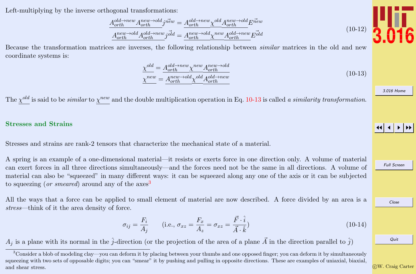<span id="page-3-0"></span>Left-multiplying by the inverse orthogonal transformations:

$$
\frac{A_{orth}^{old \to new} A_{orth}^{new \to old} j^{\eta \to w}}{A_{orth}^{new \to old} A_{orth}^{old \to new} j^{\eta \to d}} = \frac{A_{orth}^{old \to new} \chi^{old} A_{orth}^{new \to old} E^{\eta \to w}}{A_{orth}^{new \to old} A_{orth}^{old \to new} E^{\eta \to d}}
$$
(10-12)

Because the transformation matrices are inverses, the following relationship between similar matrices in the old and new coordinate systems is:

$$
\frac{\chi^{old}}{\chi^{new}} = \frac{A_{orth}^{old \to new} \chi^{new} A_{orth}^{new \to old}}{\chi^{new}} \frac{A_{orth}^{new \to old}}{A_{orth}^{old \to new}} \tag{10-13}
$$

The  $\chi^{old}$  is said to be *similar* to  $\chi^{new}$  and the double multiplication operation in Eq. 10-13 is called a *similarity transformation*.

#### Stresses and Strains

Stresses and strains are rank-2 tensors that characterize the mechanical state of a material.

A spring is an example of a one-dimensional material—it resists or exerts force in one direction only. A volume of material can exert forces in all three directions simultaneously—and the forces need not be the same in all directions. A volume of material can also be "squeezed" in many different ways: it can be squeezed along any one of the axis or it can be subjected to squeezing (*or smeared*) around any of the  $axes<sup>3</sup>$ 

All the ways that a force can be applied to small element of material are now described. A force divided by an area is a stress—think of it the area density of force.

$$
\sigma_{ij} = \frac{F_i}{A_j} \qquad \text{(i.e., } \sigma_{xz} = \frac{F_x}{A_z} = \sigma_{xz} = \frac{\vec{F} \cdot \hat{i}}{\vec{A} \cdot \hat{k}} \tag{10-14}
$$

 $A_i$  is a plane with its normal in the  $\hat{j}$ -direction (or the projection of the area of a plane  $\vec{A}$  in the direction parallel to  $\hat{j}$ )



[3.016 Home](http://pruffle.mit.edu/3.016-2012/)

JJ J I II

Full Screen

Close

Quit

c W. Craig Carter

<sup>&</sup>lt;sup>3</sup>Consider a blob of modeling clay—you can deform it by placing between your thumbs and one opposed finger; you can deform it by simultaneously squeezing with two sets of opposable digits; you can "smear" it by pushing and pulling in opposite directions. These are examples of uniaxial, biaxial, and shear stress.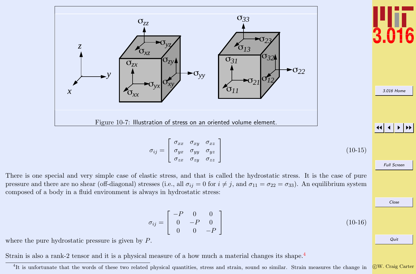<span id="page-4-0"></span>

$$
\sigma_{ij} = \begin{bmatrix} \sigma_{xx} & \sigma_{xy} & \sigma_{xz} \\ \sigma_{yx} & \sigma_{yy} & \sigma_{yz} \\ \sigma_{zx} & \sigma_{zy} & \sigma_{zz} \end{bmatrix}
$$
 (10-15)

There is one special and very simple case of elastic stress, and that is called the hydrostatic stress. It is the case of pure pressure and there are no shear (off-diagonal) stresses (i.e., all  $\sigma_{ij} = 0$  for  $i \neq j$ , and  $\sigma_{11} = \sigma_{22} = \sigma_{33}$ ). An equilibrium system composed of a body in a fluid environment is always in hydrostatic stress:

$$
\sigma_{ij} = \begin{bmatrix} -P & 0 & 0 \\ 0 & -P & 0 \\ 0 & 0 & -P \end{bmatrix}
$$
 (10-16)

where the pure hydrostatic pressure is given by P.

Strain is also a rank-2 tensor and it is a physical measure of a how much a material changes its shape.<sup>4</sup>

Quit c W. Craig Carter

Full Screen

Close

<sup>&</sup>lt;sup>4</sup>It is unfortunate that the words of these two related physical quantities, stress and strain, sound so similar. Strain measures the change in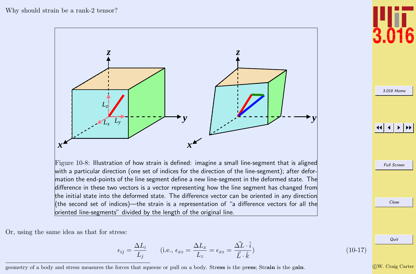<span id="page-5-0"></span>Why should strain be a rank-2 tensor?



Or, using the same idea as that for stress:

$$
\epsilon_{ij} = \frac{\Delta L_i}{L_j} \qquad \text{(i.e., } \epsilon_{xz} = \frac{\Delta L_x}{L_z} = \epsilon_{xz} = \frac{\Delta L \cdot \hat{i}}{\vec{L} \cdot \hat{k}} \tag{10-17}
$$

geometry of a body and stress measures the forces that squeeze or pull on a body. Stress is the press; Strain is the gain.

c W. Craig Carter

[3.016 Home](http://pruffle.mit.edu/3.016-2012/)

JJ J I II

Full Screen

Close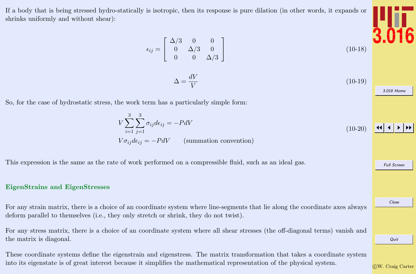<span id="page-6-0"></span>If a body that is being stressed hydro-statically is isotropic, then its response is pure dilation (in other words, it expands or shrinks uniformly and without shear):

$$
\epsilon_{ij} = \begin{bmatrix} \Delta/3 & 0 & 0 \\ 0 & \Delta/3 & 0 \\ 0 & 0 & \Delta/3 \end{bmatrix} \tag{10-18}
$$

$$
\Delta = \frac{dV}{V} \tag{10-19}
$$

So, for the case of hydrostatic stress, the work term has a particularly simple form:

$$
V \sum_{i=1}^{3} \sum_{j=1}^{3} \sigma_{ij} d\epsilon_{ij} = -PdV
$$
\n
$$
V \sigma_{ij} d\epsilon_{ij} = -PdV
$$
\n(10-20)

\n(10-20)

This expression is the same as the rate of work performed on a compressible fluid, such as an ideal gas.

#### EigenStrains and EigenStresses

For any strain matrix, there is a choice of an coordinate system where line-segments that lie along the coordinate axes always deform parallel to themselves (i.e., they only stretch or shrink, they do not twist).

For any stress matrix, there is a choice of an coordinate system where all shear stresses (the off-diagonal terms) vanish and the matrix is diagonal.

These coordinate systems define the eigenstrain and eigenstress. The matrix transformation that takes a coordinate system into its eigenstate is of great interest because it simplifies the mathematical representation of the physical system.

c W. Craig Carter

Quit



[3.016 Home](http://pruffle.mit.edu/3.016-2012/)

Full Screen

Close

 $\blacktriangleright$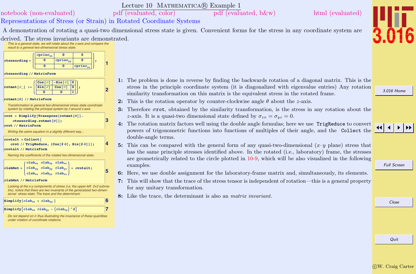<span id="page-7-0"></span>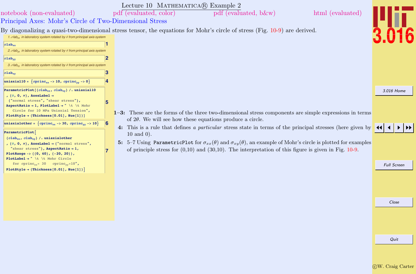<span id="page-8-0"></span>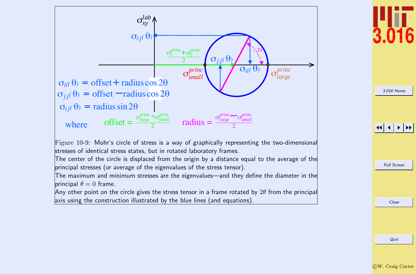<span id="page-9-0"></span>

Figure 10-9: Mohr's circle of stress is a way of graphically representing the two-dimensional stresses of identical stress states, but in rotated laboratory frames.

The center of the circle is displaced from the origin by a distance equal to the average of the principal stresses (or average of the eigenvalues of the stress tensor).

The maximum and minimum stresses are the eigenvalues—and they define the diameter in the principal  $\theta = 0$  frame.

Any other point on the circle gives the stress tensor in a frame rotated by  $2\theta$  from the principal axis using the construction illustrated by the blue lines (and equations).

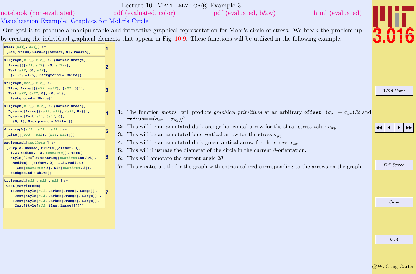<span id="page-10-0"></span>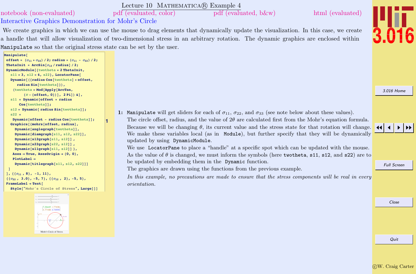#### Lecture 10 MATHEMATICA(R) Example 4

<span id="page-11-0"></span>Interactive Graphics Demonstration for Mohr's Circle [notebook \(non-evaluated\)](http://pruffle.mit.edu/3.016-2012/Notebooks/L10/Lecture-10.nb) [pdf \(evaluated, color\)](http://pruffle.mit.edu/3.016-2012/pdf/L10/Lecture-10-4-COL.pdf) [pdf \(evaluated, b&w\)](http://pruffle.mit.edu/3.016-2012/pdf/L10/Lecture-10-4-BW.pdf) [html \(evaluated\)](http://pruffle.mit.edu/3.016-2012/html/Lecture-10/HTMLLinks/index_4.html)

We create graphics in which we can use the mouse to drag elements that dynamically update the visualization. In this case, we create a handle that will allow visualization of two-dimensional stress in an arbitrary rotation. The dynamic graphics are enclosed within Manipulate so that the original stress state can be set by the user.



#### c W. Craig Carter

Quit

[3.016 Home](http://pruffle.mit.edu/3.016-2012/)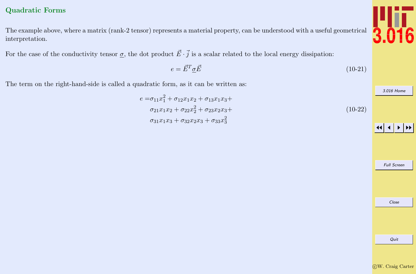# <span id="page-12-0"></span>Quadratic Forms

# The example above, where a matrix (rank-2 tensor) represents a material property, can be understood with a useful geometrical interpretation.

For the case of the conductivity tensor  $\underline{\sigma}$ , the dot product  $\vec{E} \cdot \vec{j}$  is a scalar related to the local energy dissipation:

$$
e = \vec{E}^T \underline{\sigma} \vec{E} \tag{10-21}
$$

The term on the right-hand-side is called a quadratic form, as it can be written as:

$$
e = \sigma_{11}x_1^2 + \sigma_{12}x_1x_2 + \sigma_{13}x_1x_3 +
$$
  
\n
$$
\sigma_{21}x_1x_2 + \sigma_{22}x_2^2 + \sigma_{23}x_2x_3 +
$$
  
\n
$$
\sigma_{31}x_1x_3 + \sigma_{32}x_2x_3 + \sigma_{33}x_3^2
$$
\n(10-22)

JJ J I II

Full Screen

Close

[3.016 Home](http://pruffle.mit.edu/3.016-2012/)

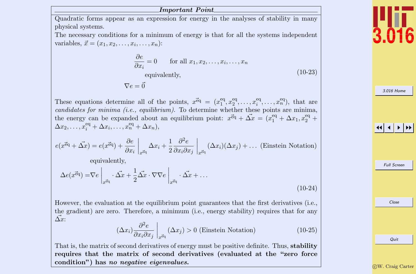## Important Point

Quadratic forms appear as an expression for energy in the analyses of stability in many physical systems.

The necessary conditions for a minimum of energy is that for all the systems independent variables,  $\vec{x} = (x_1, x_2, \dots, x_i, \dots, x_n)$ :

$$
\frac{\partial e}{\partial x_i} = 0 \quad \text{for all } x_1, x_2, \dots, x_i, \dots, x_n
$$
  
equivalently,  

$$
\nabla e = \vec{0}
$$
 (10-23)

These equations determine all of the points,  $x^{\vec{e}q} = (x_1^{eq})$  $_1^{\text{eq}}, x_2^{\text{eq}}$  $x_2^{\text{eq}}, \ldots, x_i^{\text{eq}}$  $x_i^{\text{eq}}, \ldots, x_n^{\text{eq}}$ , that are candidates for minima (i.e., equilibrium). To determine whether these points are minima, the energy can be expanded about an equilibrium point:  $x^{\vec{e}q} + \vec{\Delta x} = (x_1^{eq} + \Delta x_1, x_2^{eq} +$  $\Delta x_2, \ldots, x_i^{\text{eq}} + \Delta x_i, \ldots, x_n^{\text{eq}} + \Delta x_n$ 

$$
e(x^{\vec{\mathbf{e}}_q} + \vec{\Delta x}) = e(x^{\vec{\mathbf{e}}_q}) + \frac{\partial e}{\partial x_i}\Big|_{x^{\vec{\mathbf{e}}_q}} \Delta x_i + \frac{1}{2} \frac{\partial^2 e}{\partial x_i \partial x_j}\Big|_{x^{\vec{\mathbf{e}}_q}} (\Delta x_i)(\Delta x_j) + \dots \text{ (Einstein Notation)}
$$

equivalently,

$$
\Delta e(x^{\vec{e}q}) = \nabla e \Big|_{x^{\vec{e}q}} \cdot \vec{\Delta x} + \frac{1}{2} \vec{\Delta x} \cdot \nabla \nabla e \Big|_{x^{\vec{e}q}} \cdot \vec{\Delta x} + \dots \tag{10-24}
$$

However, the evaluation at the equilibrium point guarantees that the first derivatives (i.e., the gradient) are zero. Therefore, a minimum (i.e., energy stability) requires that for any  $\Delta x$ :

$$
(\Delta x_i) \frac{\partial^2 e}{\partial x_i \partial x_j} \bigg|_{x^{\vec{\alpha}_1}} (\Delta x_j) > 0 \text{ (Einstein Notation)} \tag{10-25}
$$

That is, the matrix of second derivatives of energy must be positive definite. Thus, stability requires that the matrix of second derivatives (evaluated at the "zero force condition") has no negative eigenvalues.

| 3.                   | 01                 | $\overline{\mathbf{6}}$               |
|----------------------|--------------------|---------------------------------------|
|                      |                    |                                       |
|                      |                    |                                       |
|                      | 3.016 Home         |                                       |
|                      |                    |                                       |
| $\blacktriangleleft$ |                    | $\left  \left  \cdot \right  \right $ |
|                      |                    |                                       |
|                      |                    |                                       |
|                      | <b>Full Screen</b> |                                       |
|                      |                    |                                       |
|                      | Close              |                                       |
|                      |                    |                                       |
|                      |                    |                                       |
|                      | Quit               |                                       |
|                      |                    |                                       |
|                      |                    | ©W. Craig Carter                      |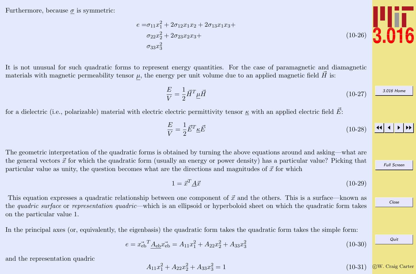<span id="page-14-0"></span>Furthermore, because  $\sigma$  is symmetric:

 $e = \sigma_{11}x_1^2 + 2\sigma_{12}x_1x_2 + 2\sigma_{13}x_1x_3 +$  $\sigma_{22}x_2^2+2\sigma_{23}x_2x_3+$  $\sigma_{33}x_{3}^{2}$ 

It is not unusual for such quadratic forms to represent energy quantities. For the case of paramagnetic and diamagnetic materials with magnetic permeability tensor  $\mu$ , the energy per unit volume due to an applied magnetic field  $\vec{H}$  is:

$$
\frac{E}{V} = \frac{1}{2}\vec{H}^T \underline{\mu}\vec{H}
$$
\n<sup>(10-27)</sup>

for a dielectric (i.e., polarizable) material with electric electric permittivity tensor  $\kappa$  with an applied electric field  $\vec{E}$ :

$$
\frac{E}{V} = \frac{1}{2} \vec{E}^T \underline{\kappa} \vec{E}
$$
\n<sup>(10-28)</sup>

The geometric interpretation of the quadratic forms is obtained by turning the above equations around and asking—what are the general vectors  $\vec{x}$  for which the quadratic form (usually an energy or power density) has a particular value? Picking that particular value as unity, the question becomes what are the directions and magnitudes of  $\vec{x}$  for which

$$
1 = \vec{x}^T \underline{A} \vec{x} \tag{10-29}
$$

This equation expresses a quadratic relationship between one component of  $\vec{x}$  and the others. This is a surface—known as the quadric surface or representation quadric—which is an ellipsoid or hyperboloid sheet on which the quadratic form takes on the particular value 1.

In the principal axes (or, equivalently, the eigenbasis) the quadratic form takes the quadratic form takes the simple form:

$$
e = x_{\rm eb}^2 \frac{A_{\rm eb}}{A_{\rm eb}} x_{\rm eb}^2 = A_{11} x_1^2 + A_{22} x_2^2 + A_{33} x_3^2 \tag{10-30}
$$

and the representation quadric

$$
A_{11}x_1^2 + A_{22}x_2^2 + A_{33}x_3^2 = 1
$$
\n<sup>(10-31)</sup> <sup>°</sup> <sup>(8)</sup> Craig C<sub>0</sub>



[3.016 Home](http://pruffle.mit.edu/3.016-2012/)

$$
\left| \left| \left| \left| \left| \left| \left| \right| \right| \right| \right| \right| \right|
$$

Full Screen

Close

Quit

arter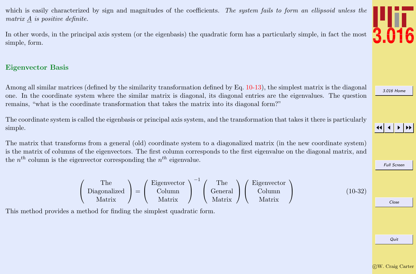

#### Eigenvector Basis

simple, form.

matrix A is positive definite.

Among all similar matrices (defined by the similarity transformation defined by Eq. [10-13\)](#page-3-0), the simplest matrix is the diagonal one. In the coordinate system where the similar matrix is diagonal, its diagonal entries are the eigenvalues. The question remains, "what is the coordinate transformation that takes the matrix into its diagonal form?"

<span id="page-15-0"></span>which is easily characterized by sign and magnitudes of the coefficients. The system fails to form an ellipsoid unless the

The coordinate system is called the eigenbasis or principal axis system, and the transformation that takes it there is particularly simple.

The matrix that transforms from a general (old) coordinate system to a diagonalized matrix (in the new coordinate system) is the matrix of columns of the eigenvectors. The first column corresponds to the first eigenvalue on the diagonal matrix, and the  $n^{th}$  column is the eigenvector corresponding the  $n^{th}$  eigenvalue.

$$
\begin{pmatrix}\n\text{The} \\
\text{Diagonalized} \\
\text{Matrix}\n\end{pmatrix} = \begin{pmatrix}\n\text{Eigenvector} \\
\text{Column} \\
\text{Matrix}\n\end{pmatrix}^{-1} \begin{pmatrix}\n\text{The} \\
\text{General} \\
\text{Matrix}\n\end{pmatrix} \begin{pmatrix}\n\text{Eigenvector} \\
\text{Column} \\
\text{Matrix}\n\end{pmatrix}
$$
\n(10-32)

This method provides a method for finding the simplest quadratic form.



[3.016 Home](http://pruffle.mit.edu/3.016-2012/)

# JJ J I II

Full Screen

Close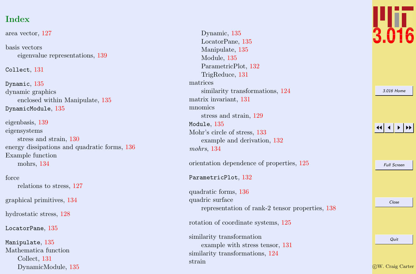# Index

area vector, [127](#page-3-0) basis vectors eigenvalue representations, [139](#page-15-0) Collect , [131](#page-7-0) Dynamic , [135](#page-11-0) dynamic graphics enclosed within Manipulate, [135](#page-11-0) <code>DynamicModule</code>,  $135\,$  $135\,$ eigenbasis, [139](#page-15-0) eigensystems stress and strain, [130](#page-6-0) energy dissipations and quadratic forms, [136](#page-12-0) Example function mohrs, [134](#page-10-0) force relations to stress, [127](#page-3-0) graphical primitives, [134](#page-10-0) hydrostatic stress, [128](#page-4-0) Locator $P$ ane,  $135\,$  $135\,$  $\texttt{Manipulate},\,135$  $\texttt{Manipulate},\,135$ Mathematica function

Collect, [131](#page-7-0)

DynamicModule, [135](#page-11-0)

Dynamic, [135](#page-11-0) LocatorPane, [135](#page-11-0) Manipulate, [135](#page-11-0) Module, [135](#page-11-0) ParametricPlot, [132](#page-8-0) TrigReduce, [131](#page-7-0) matrices similarity transformations, [124](#page-0-0) matrix invariant, [131](#page-7-0) mnomics stress and strain, [129](#page-5-0) Module,  $135\,$  $135\,$ Mohr's circle of stress, [133](#page-9-0) example and derivation, [132](#page-8-0) mohrs , [134](#page-10-0) orientation dependence of properties, [125](#page-1-0) ParametricPlot,  $132\,$  $132\,$ quadratic forms, [136](#page-12-0) quadric surface representation of rank-2 tensor properties, [138](#page-14-0) rotation of coordinate systems, [125](#page-1-0) similarity transformation example with stress tensor, [131](#page-7-0) similarity transformations, [124](#page-0-0) strain



| 3.016 Home         |  |  |  |  |  |  |
|--------------------|--|--|--|--|--|--|
|                    |  |  |  |  |  |  |
|                    |  |  |  |  |  |  |
|                    |  |  |  |  |  |  |
|                    |  |  |  |  |  |  |
|                    |  |  |  |  |  |  |
|                    |  |  |  |  |  |  |
| <b>Full Screen</b> |  |  |  |  |  |  |
|                    |  |  |  |  |  |  |
|                    |  |  |  |  |  |  |
|                    |  |  |  |  |  |  |
| Close              |  |  |  |  |  |  |
|                    |  |  |  |  |  |  |
|                    |  |  |  |  |  |  |
|                    |  |  |  |  |  |  |
| Quit               |  |  |  |  |  |  |
|                    |  |  |  |  |  |  |
|                    |  |  |  |  |  |  |